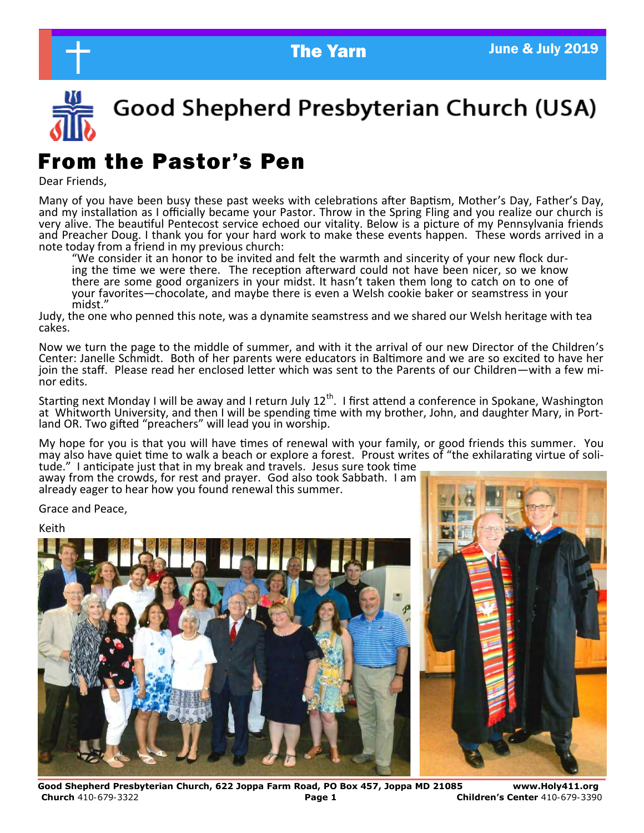

Good Shepherd Presbyterian Church (USA)

# From the Pastor's Pen

Dear Friends,

Many of you have been busy these past weeks with celebrations after Baptism, Mother's Day, Father's Day, and my installation as I officially became your Pastor. Throw in the Spring Fling and you realize our church is very alive. The beautiful Pentecost service echoed our vitality. Below is a picture of my Pennsylvania friends and Preacher Doug. I thank you for your hard work to make these events happen. These words arrived in a note today from a friend in my previous church:

"We consider it an honor to be invited and felt the warmth and sincerity of your new flock during the time we were there. The reception afterward could not have been nicer, so we know there are some good organizers in your midst. It hasn't taken them long to catch on to one of your favorites—chocolate, and maybe there is even a Welsh cookie baker or seamstress in your midst."

Judy, the one who penned this note, was a dynamite seamstress and we shared our Welsh heritage with tea cakes.

Now we turn the page to the middle of summer, and with it the arrival of our new Director of the Children's Center: Janelle Schmidt. Both of her parents were educators in Baltimore and we are so excited to have her join the staff. Please read her enclosed letter which was sent to the Parents of our Children—with a few minor edits.

Starting next Monday I will be away and I return July 12<sup>th</sup>. I first attend a conference in Spokane, Washington at Whitworth University, and then I will be spending time with my brother, John, and daughter Mary, in Portland OR. Two gifted "preachers" will lead you in worship.

My hope for you is that you will have times of renewal with your family, or good friends this summer. You may also have quiet time to walk a beach or explore a forest. Proust writes of "the exhilarating virtue of solitude." I anticipate just that in my break and travels. Jesus sure took time

away from the crowds, for rest and prayer. God also took Sabbath. I am already eager to hear how you found renewal this summer.

Grace and Peace,

Keith





**Good Shepherd Presbyterian Church, 622 Joppa Farm Road, PO Box 457, Joppa MD 21085 www.Holy411.org Church** 410-679-3322 **Page 1 Children's Center** 410-679-3390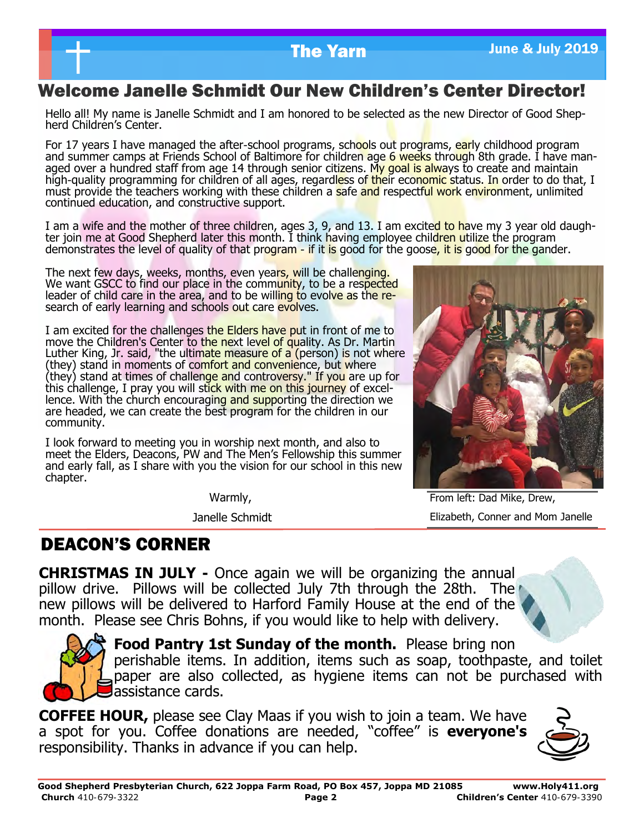## Welcome Janelle Schmidt Our New Children's Center Director!

Hello all! My name is Janelle Schmidt and I am honored to be selected as the new Director of Good Shepherd Children's Center.

For 17 years I have managed the after-school programs, schools out programs, early childhood program and summer camps at Friends School of Baltimore for children age 6 weeks through 8th grade. I have managed over a hundred staff from age 14 through senior citizens. My goal is always to create and maintain high-quality programming for children of all ages, regardless of their economic status. In order to do that, I must provide the teachers working with these children a safe and respectful work environment, unlimited continued education, and constructive support.

I am a wife and the mother of three children, ages 3, 9, and 13. I am excited to have my 3 year old daughter join me at Good Shepherd later this month. I think having employee children utilize the program demonstrates the level of quality of that program - if it is good for the goose, it is good for the gander.

The next few days, weeks, months, even years, will be challenging. We want GSCC to find our place in the community, to be a respected leader of child care in the area, and to be willing to evolve as the research of early learning and schools out care evolves.

I am excited for the challenges the Elders have put in front of me to move the Children's Center to the next level of quality. As Dr. Martin Luther King, Jr. said, "the ultimate measure of a (person) is not where (they) stand in moments of comfort and convenience, but where (they) stand at times of challenge and controversy." If you are up for this challenge, I pray you will stick with me on this journey of excellence. With the church encouraging and supporting the direction we are headed, we can create the best program for the children in our community.

I look forward to meeting you in worship next month, and also to meet the Elders, Deacons, PW and The Men's Fellowship this summer and early fall, as I share with you the vision for our school in this new chapter.

Warmly,

Janelle Schmidt

From left: Dad Mike, Drew, Elizabeth, Conner and Mom Janelle

## DEACON'S CORNER

**CHRISTMAS IN JULY -** Once again we will be organizing the annual pillow drive. Pillows will be collected July 7th through the 28th. The new pillows will be delivered to Harford Family House at the end of the month. Please see Chris Bohns, if you would like to help with delivery.



**Food Pantry 1st Sunday of the month.** Please bring non perishable items. In addition, items such as soap, toothpaste, and toilet paper are also collected, as hygiene items can not be purchased with assistance cards.

**COFFEE HOUR,** please see Clay Maas if you wish to join a team. We have a spot for you. Coffee donations are needed, "coffee" is **everyone's**  responsibility. Thanks in advance if you can help.

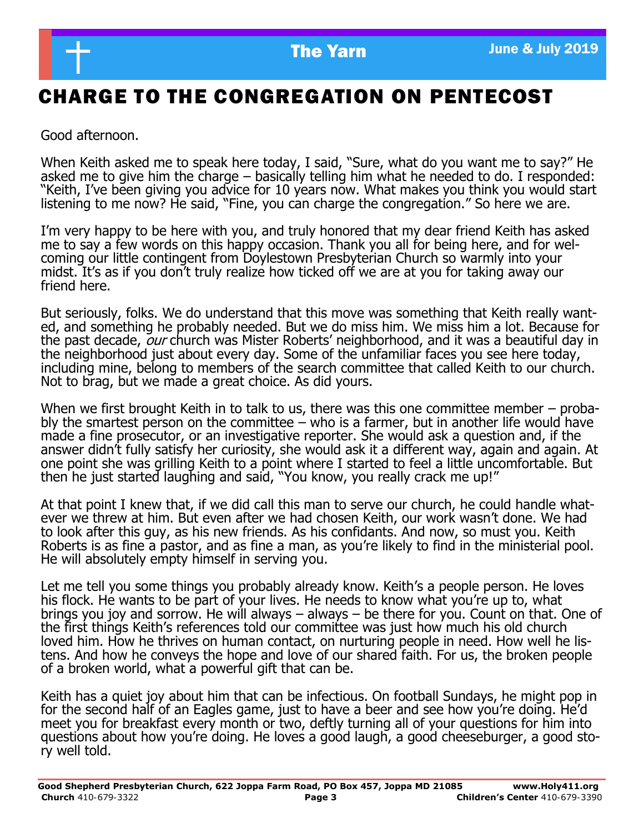

# CHARGE TO THE CONGREGATION ON PENTECOST

Good afternoon.

When Keith asked me to speak here today, I said, "Sure, what do you want me to say?" He asked me to give him the charge – basically telling him what he needed to do. I responded: "Keith, I've been giving you advice for 10 years now. What makes you think you would start listening to me now? He said, "Fine, you can charge the congregation." So here we are.

I'm very happy to be here with you, and truly honored that my dear friend Keith has asked me to say a few words on this happy occasion. Thank you all for being here, and for welcoming our little contingent from Doylestown Presbyterian Church so warmly into your midst. It's as if you don't truly realize how ticked off we are at you for taking away our friend here.

But seriously, folks. We do understand that this move was something that Keith really wanted, and something he probably needed. But we do miss him. We miss him a lot. Because for the past decade, our church was Mister Roberts' neighborhood, and it was a beautiful day in the neighborhood just about every day. Some of the unfamiliar faces you see here today, including mine, belong to members of the search committee that called Keith to our church. Not to brag, but we made a great choice. As did yours.

When we first brought Keith in to talk to us, there was this one committee member – probably the smartest person on the committee  $-$  who is a farmer, but in another life would have made a fine prosecutor, or an investigative reporter. She would ask a question and, if the answer didn't fully satisfy her curiosity, she would ask it a different way, again and again. At one point she was grilling Keith to a point where I started to feel a little uncomfortable. But then he just started laughing and said, "You know, you really crack me up!"

At that point I knew that, if we did call this man to serve our church, he could handle whatever we threw at him. But even after we had chosen Keith, our work wasn't done. We had to look after this guy, as his new friends. As his confidants. And now, so must you. Keith Roberts is as fine a pastor, and as fine a man, as you're likely to find in the ministerial pool. He will absolutely empty himself in serving you.

Let me tell you some things you probably already know. Keith's a people person. He loves his flock. He wants to be part of your lives. He needs to know what you're up to, what brings you joy and sorrow. He will always – always – be there for you. Count on that. One of the first things Keith's references told our committee was just how much his old church loved him. How he thrives on human contact, on nurturing people in need. How well he listens. And how he conveys the hope and love of our shared faith. For us, the broken people of a broken world, what a powerful gift that can be.

Keith has a quiet joy about him that can be infectious. On football Sundays, he might pop in for the second half of an Eagles game, just to have a beer and see how you're doing. He'd meet you for breakfast every month or two, deftly turning all of your questions for him into questions about how you're doing. He loves a good laugh, a good cheeseburger, a good story well told.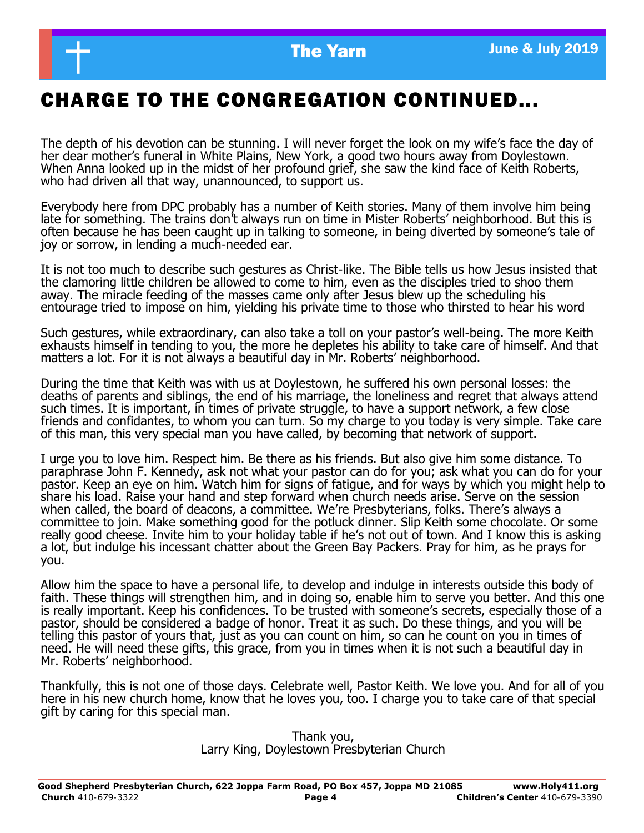# CHARGE TO THE CONGREGATION CONTINUED...

The depth of his devotion can be stunning. I will never forget the look on my wife's face the day of her dear mother's funeral in White Plains, New York, a good two hours away from Doylestown. When Anna looked up in the midst of her profound grief, she saw the kind face of Keith Roberts, who had driven all that way, unannounced, to support us.

Everybody here from DPC probably has a number of Keith stories. Many of them involve him being late for something. The trains don't always run on time in Mister Roberts' neighborhood. But this is often because he has been caught up in talking to someone, in being diverted by someone's tale of joy or sorrow, in lending a much-needed ear.

It is not too much to describe such gestures as Christ-like. The Bible tells us how Jesus insisted that the clamoring little children be allowed to come to him, even as the disciples tried to shoo them away. The miracle feeding of the masses came only after Jesus blew up the scheduling his entourage tried to impose on him, yielding his private time to those who thirsted to hear his word

Such gestures, while extraordinary, can also take a toll on your pastor's well-being. The more Keith exhausts himself in tending to you, the more he depletes his ability to take care of himself. And that matters a lot. For it is not always a beautiful day in Mr. Roberts' neighborhood.

During the time that Keith was with us at Doylestown, he suffered his own personal losses: the deaths of parents and siblings, the end of his marriage, the loneliness and regret that always attend such times. It is important, in times of private struggle, to have a support network, a few close friends and confidantes, to whom you can turn. So my charge to you today is very simple. Take care of this man, this very special man you have called, by becoming that network of support.

I urge you to love him. Respect him. Be there as his friends. But also give him some distance. To paraphrase John F. Kennedy, ask not what your pastor can do for you; ask what you can do for your pastor. Keep an eye on him. Watch him for signs of fatigue, and for ways by which you might help to share his load. Raise your hand and step forward when church needs arise. Serve on the session when called, the board of deacons, a committee. We're Presbyterians, folks. There's always a committee to join. Make something good for the potluck dinner. Slip Keith some chocolate. Or some really good cheese. Invite him to your holiday table if he's not out of town. And I know this is asking a lot, but indulge his incessant chatter about the Green Bay Packers. Pray for him, as he prays for you.

Allow him the space to have a personal life, to develop and indulge in interests outside this body of faith. These things will strengthen him, and in doing so, enable him to serve you better. And this one is really important. Keep his confidences. To be trusted with someone's secrets, especially those of a pastor, should be considered a badge of honor. Treat it as such. Do these things, and you will be telling this pastor of yours that, just as you can count on him, so can he count on you in times of need. He will need these gifts, this grace, from you in times when it is not such a beautiful day in Mr. Roberts' neighborhood.

Thankfully, this is not one of those days. Celebrate well, Pastor Keith. We love you. And for all of you here in his new church home, know that he loves you, too. I charge you to take care of that special gift by caring for this special man.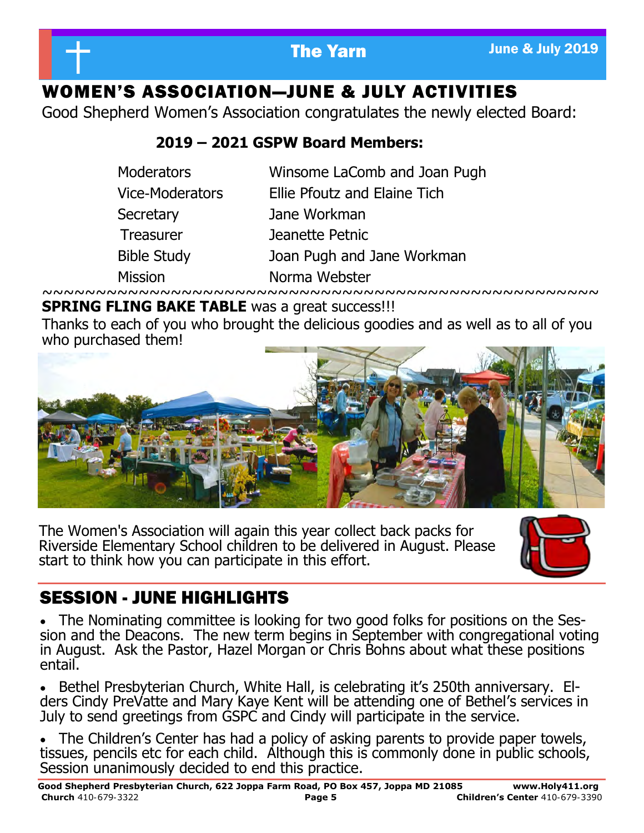

# WOMEN'S ASSOCIATION—JUNE & JULY ACTIVITIES

Good Shepherd Women's Association congratulates the newly elected Board:

## **2019 – 2021 GSPW Board Members:**

| <b>Moderators</b>      | Winsome LaComb and Joan Pugh |
|------------------------|------------------------------|
| <b>Vice-Moderators</b> | Ellie Pfoutz and Elaine Tich |
| Secretary              | Jane Workman                 |
| <b>Treasurer</b>       | Jeanette Petnic              |
| <b>Bible Study</b>     | Joan Pugh and Jane Workman   |
| <b>Mission</b>         | Norma Webster                |

~~~~~~~~~~~~~~~~~~~~~~~~~~~~~~~~~~~~~~~~~~~~~~~~~~~~ **SPRING FLING BAKE TABLE** was a great success!!!

Thanks to each of you who brought the delicious goodies and as well as to all of you who purchased them!



The Women's Association will again this year collect back packs for Riverside Elementary School children to be delivered in August. Please start to think how you can participate in this effort.



# SESSION - JUNE HIGHLIGHTS

• The Nominating committee is looking for two good folks for positions on the Session and the Deacons. The new term begins in September with congregational voting in August. Ask the Pastor, Hazel Morgan or Chris Bohns about what these positions entail.

• Bethel Presbyterian Church, White Hall, is celebrating it's 250th anniversary. Elders Cindy PreVatte and Mary Kaye Kent will be attending one of Bethel's services in July to send greetings from GSPC and Cindy will participate in the service.

• The Children's Center has had a policy of asking parents to provide paper towels, tissues, pencils etc for each child. Although this is commonly done in public schools, Session unanimously decided to end this practice.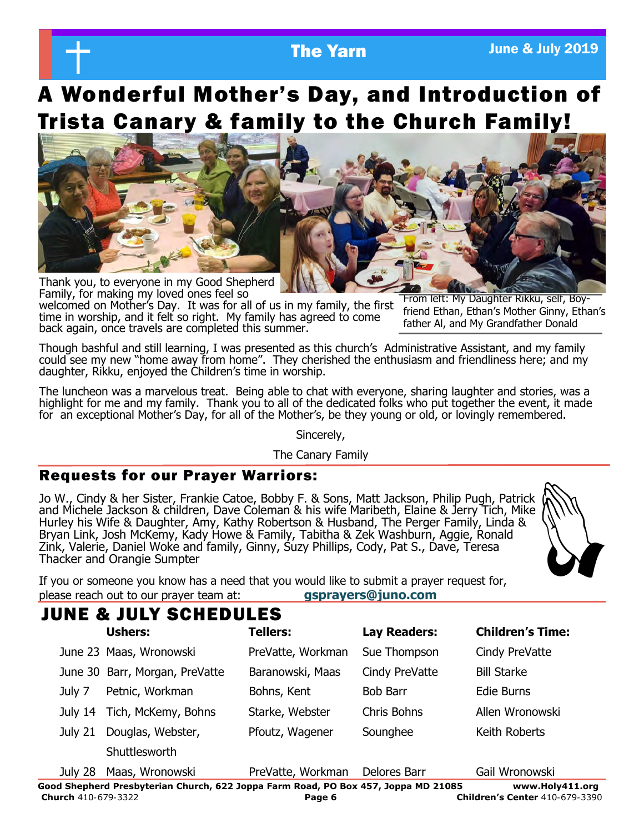# A Wonderful Mother's Day, and Introduction of Trista Canary & family to the Church Family!



Family, for making my loved ones feel so welcomed on Mother's Day. It was for all of us in my family, the first time in worship, and it felt so right. My family has agreed to come back again, once travels are completed this summer.

From left: My Daughter Rikku, self, Boyfriend Ethan, Ethan's Mother Ginny, Ethan's father Al, and My Grandfather Donald

Though bashful and still learning, I was presented as this church's Administrative Assistant, and my family could see my new "home away from home". They cherished the enthusiasm and friendliness here; and my daughter, Rikku, enjoyed the Children's time in worship.

The luncheon was a marvelous treat. Being able to chat with everyone, sharing laughter and stories, was a highlight for me and my family. Thank you to all of the dedicated folks who put together the event, it made for an exceptional Mother's Day, for all of the Mother's, be they young or old, or lovingly remembered.

Sincerely,

The Canary Family

### Requests for our Prayer Warriors:

Jo W., Cindy & her Sister, Frankie Catoe, Bobby F. & Sons, Matt Jackson, Philip Pugh, Patrick and Michele Jackson & children, Dave Coleman & his wife Maribeth, Elaine & Jerry Tich, Mike Hurley his Wife & Daughter, Amy, Kathy Robertson & Husband, The Perger Family, Linda & Bryan Link, Josh McKemy, Kady Howe & Family, Tabitha & Zek Washburn, Aggie, Ronald Zink, Valerie, Daniel Woke and family, Ginny, Suzy Phillips, Cody, Pat S., Dave, Teresa Thacker and Orangie Sumpter



If you or someone you know has a need that you would like to submit a prayer request for, please reach out to our prayer team at: **gsprayers@juno.com**

## JUNE & JULY SCHEDULES

|         | <b>Ushers:</b>                 | <b>Tellers:</b>   | <b>Lay Readers:</b> | <b>Children's Time:</b> |
|---------|--------------------------------|-------------------|---------------------|-------------------------|
|         | June 23 Maas, Wronowski        | PreVatte, Workman | Sue Thompson        | Cindy PreVatte          |
|         | June 30 Barr, Morgan, PreVatte | Baranowski, Maas  | Cindy PreVatte      | <b>Bill Starke</b>      |
| July 7  | Petnic, Workman                | Bohns, Kent       | <b>Bob Barr</b>     | Edie Burns              |
|         | July 14 Tich, McKemy, Bohns    | Starke, Webster   | <b>Chris Bohns</b>  | Allen Wronowski         |
| July 21 | Douglas, Webster,              | Pfoutz, Wagener   | Sounghee            | Keith Roberts           |
|         | Shuttlesworth                  |                   |                     |                         |

**Good Shepherd Presbyterian Church, 622 Joppa Farm Road, PO Box 457, Joppa MD 21085 www.Holy411.org Church** 410-679-3322 **Page 6 Children's Center** 410-679-3390 July 28 Maas, Wronowski PreVatte, Workman Delores Barr Gail Wronowski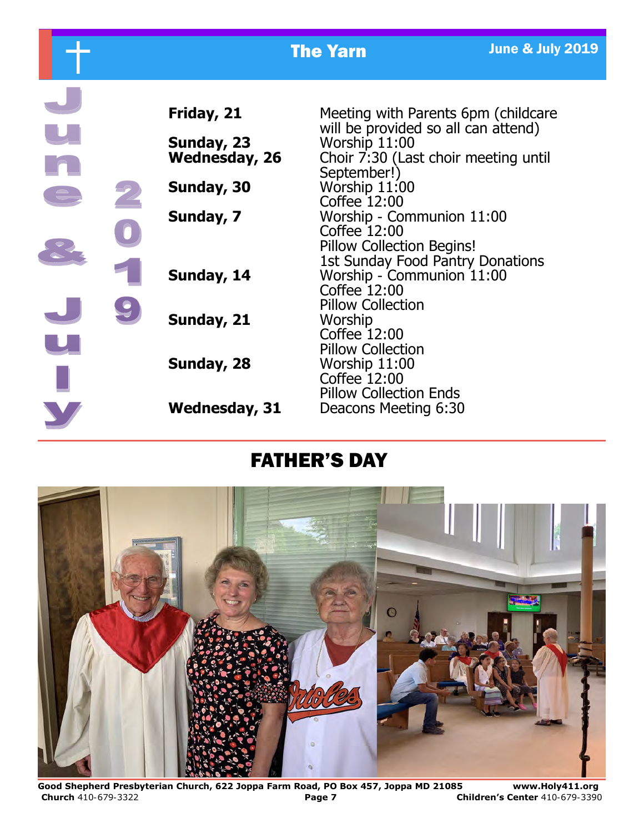|  |                                                  | <b>The Yarn</b>                                                                                                                                    | <b>June &amp; July 2019</b> |
|--|--------------------------------------------------|----------------------------------------------------------------------------------------------------------------------------------------------------|-----------------------------|
|  | Friday, 21<br>Sunday, 23<br><b>Wednesday, 26</b> | Meeting with Parents 6pm (childcare<br>will be provided so all can attend)<br>Worship 11:00<br>Choir 7:30 (Last choir meeting until<br>September!) |                             |
|  | Sunday, 30                                       | Worship 11:00<br>Coffee 12:00                                                                                                                      |                             |
|  | Sunday, 7                                        | Worship - Communion 11:00<br>Coffee 12:00<br>Pillow Collection Begins!<br><b>1st Sunday Food Pantry Donations</b>                                  |                             |
|  | Sunday, 14                                       | Worship - Communion 11:00<br>Coffee 12:00<br><b>Pillow Collection</b>                                                                              |                             |
|  | Sunday, 21                                       | Worship<br>Coffee 12:00<br><b>Pillow Collection</b>                                                                                                |                             |
|  | Sunday, 28                                       | Worship 11:00<br>Coffee 12:00<br><b>Pillow Collection Ends</b>                                                                                     |                             |
|  | <b>Wednesday, 31</b>                             | Deacons Meeting 6:30                                                                                                                               |                             |

# FATHER'S DAY



**Good Shepherd Presbyterian Church, 622 Joppa Farm Road, PO Box 457, Joppa MD 21085 www.Holy411.org Church** 410-679-3322 **Page 7 Children's Center** 410-679-3390